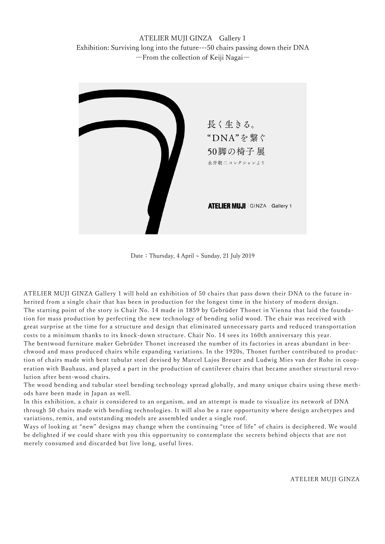ATELIER MUJI GINZA Gallery 1 Exhibition: Surviving long into the future---50 chairs passing down their DNA ―From the collection of Keiji Nagai―



Date: Thursday, 4 April ~ Sunday, 21 July 2019

ATELIER MUJI GINZA Gallery 1 will hold an exhibition of 50 chairs that pass down their DNA to the future inherited from a single chair that has been in production for the longest time in the history of modern design. The starting point of the story is Chair No. 14 made in 1859 by Gebrüder Thonet in Vienna that laid the foundation for mass production by perfecting the new technology of bending solid wood. The chair was received with great surprise at the time for a structure and design that eliminated unnecessary parts and reduced transportation costs to a minimum thanks to its knock-down structure. Chair No. 14 sees its 160th anniversary this year. The bentwood furniture maker Gebrüder Thonet increased the number of its factories in areas abundant in beechwood and mass produced chairs while expanding variations. In the 1920s, Thonet further contributed to production of chairs made with bent tubular steel devised by Marcel Lajos Breuer and Ludwig Mies van der Rohe in cooperation with Bauhaus, and played a part in the production of cantilever chairs that became another structural revolution after bent-wood chairs.

The wood bending and tubular steel bending technology spread globally, and many unique chairs using these methods have been made in Japan as well.

In this exhibition, a chair is considered to an organism, and an attempt is made to visualize its network of DNA through 50 chairs made with bending technologies. It will also be a rare opportunity where design archetypes and variations, remix, and outstanding models are assembled under a single roof.

Ways of looking at "new" designs may change when the continuing "tree of life" of chairs is deciphered. We would be delighted if we could share with you this opportunity to contemplate the secrets behind objects that are not merely consumed and discarded but live long, useful lives.

ATELIER MUJI GINZA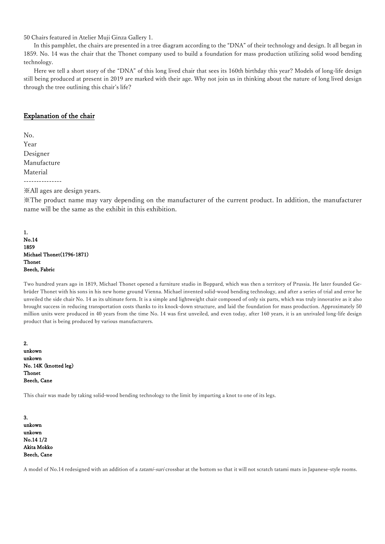50 Chairs featured in Atelier Muji Ginza Gallery 1.

In this pamphlet, the chairs are presented in a tree diagram according to the "DNA" of their technology and design. It all began in 1859. No. 14 was the chair that the Thonet company used to build a foundation for mass production utilizing solid wood bending technology.

Here we tell a short story of the "DNA" of this long lived chair that sees its 160th birthday this year? Models of long-life design still being produced at present in 2019 are marked with their age. Why not join us in thinking about the nature of long lived design through the tree outlining this chair's life?

## Explanation of the chair

No. Year Designer Manufacture Material ---------------

※All ages are design years.

※The product name may vary depending on the manufacturer of the current product. In addition, the manufacturer name will be the same as the exhibit in this exhibition.

1. No.14 1859 Michael Thonet(1796-1871) Thonet Beech, Fabric

Two hundred years ago in 1819, Michael Thonet opened a furniture studio in Boppard, which was then a territory of Prussia. He later founded Gebrüder Thonet with his sons in his new home ground Vienna. Michael invented solid-wood bending technology, and after a series of trial and error he unveiled the side chair No. 14 as its ultimate form. It is a simple and lightweight chair composed of only six parts, which was truly innovative as it also brought success in reducing transportation costs thanks to its knock-down structure, and laid the foundation for mass production. Approximately 50 million units were produced in 40 years from the time No. 14 was first unveiled, and even today, after 160 years, it is an unrivaled long-life design product that is being produced by various manufacturers.

2. unkown unkown No. 14K (knotted leg) Thonet Beech, Cane

This chair was made by taking solid-wood bending technology to the limit by imparting a knot to one of its legs.

3. unkown unkown No.14 1/2 Akita Mokko Beech, Cane

A model of No.14 redesigned with an addition of a tatami-suri crossbar at the bottom so that it will not scratch tatami mats in Japanese-style rooms.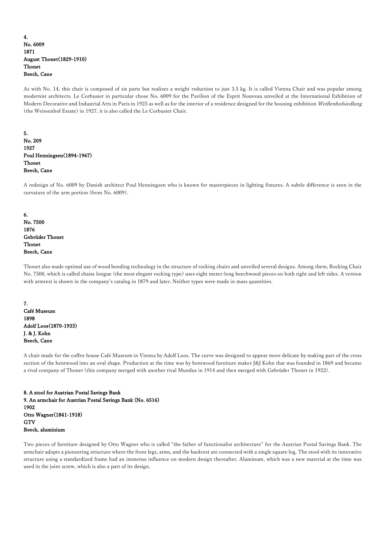## 4. No. 6009 1871 August Thonet(1829-1910) Thonet Beech, Cane

As with No. 14, this chair is composed of six parts but realizes a weight reduction to just 3.5 kg. It is called Vienna Chair and was popular among modernist architects. Le Corbusier in particular chose No. 6009 for the Pavilion of the Esprit Nouveau unveiled at the International Exhibition of Modern Decorative and Industrial Arts in Paris in 1925 as well as for the interior of a residence designed for the housing exhibition Weißenhofsiedlung (the Weissenhof Estate) in 1927, it is also called the Le Corbusier Chair.

5. No. 209 1927 Poul Henningsen(1894-1967) Thonet Beech, Cane

A redesign of No. 6009 by Danish architect Poul Henningsen who is known for masterpieces in lighting fixtures. A subtle difference is seen in the curvature of the arm portion (from No. 6009).

6. No. 7500 1876 Gebrüder Thonet Thonet Beech, Cane

Thonet also made optimal use of wood bending technology in the structure of rocking chairs and unveiled several designs. Among them, Rocking Chair No. 7500, which is called chaise longue (the most elegant rocking type) uses eight meter-long beechwood pieces on both right and left sides. A version with armrest is shown in the company's catalog in 1879 and later. Neither types were made in mass quantities.

7. Café Museum 1898 Adolf Loos(1870-1933) J. & J. Kohn Beech, Cane

A chair made for the coffee house Café Museum in Vienna by Adolf Loos. The curve was designed to appear more delicate by making part of the cross section of the bentwood into an oval shape. Production at the time was by bentwood furniture maker J&J Kohn that was founded in 1869 and became a rival company of Thonet (this company merged with another rival Mundus in 1914 and then merged with Gebrüder Thonet in 1922).

8. A stool for Austrian Postal Savings Bank 9. An armchair for Austrian Postal Savings Bank (No. 6516) 1902 Otto Wagner(1841-1918) **GTV** Beech, aluminium

Two pieces of furniture designed by Otto Wagner who is called "the father of functionalist architecture" for the Austrian Postal Savings Bank. The armchair adopts a pioneering structure where the front legs, arms, and the backrest are connected with a single square log. The stool with its innovative structure using a standardized frame had an immense influence on modern design thereafter. Aluminum, which was a new material at the time was used in the joint screw, which is also a part of its design.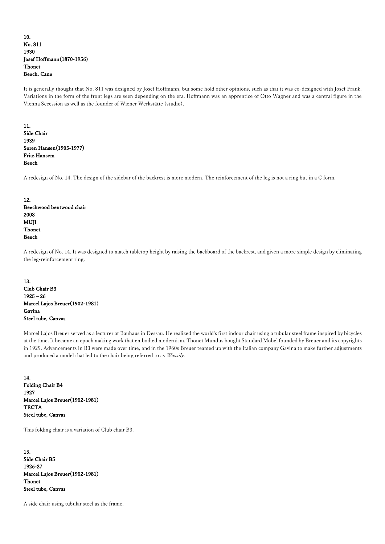## 10. No. 811 1930 Josef Hoffmann(1870-1956) Thonet Beech, Cane

It is generally thought that No. 811 was designed by Josef Hoffmann, but some hold other opinions, such as that it was co-designed with Josef Frank. Variations in the form of the front legs are seen depending on the era. Hoffmann was an apprentice of Otto Wagner and was a central figure in the Vienna Secession as well as the founder of Wiener Werkstätte (studio).

### 11. Side Chair 1939 Søren Hansen(1905-1977) Fritz Hansem Beech

A redesign of No. 14. The design of the sidebar of the backrest is more modern. The reinforcement of the leg is not a ring but in a C form.

12. Beechwood bentwood chair 2008 MUJI Thonet Beech

A redesign of No. 14. It was designed to match tabletop height by raising the backboard of the backrest, and given a more simple design by eliminating the leg-reinforcement ring.

## 13. Club Chair B3  $1925 - 26$ Marcel Lajos Breuer(1902-1981) Gavina Steel tube, Canvas

Marcel Lajos Breuer served as a lecturer at Bauhaus in Dessau. He realized the world's first indoor chair using a tubular steel frame inspired by bicycles at the time. It became an epoch making work that embodied modernism. Thonet Mundus bought Standard Möbel founded by Breuer and its copyrights in 1929. Advancements in B3 were made over time, and in the 1960s Breuer teamed up with the Italian company Gavina to make further adjustments and produced a model that led to the chair being referred to as Wassily.

14. Folding Chair B4 1927 Marcel Lajos Breuer(1902-1981) **TECTA** Steel tube, Canvas

This folding chair is a variation of Club chair B3.

15. Side Chair B5 1926-27 Marcel Lajos Breuer(1902-1981) Thonet Steel tube, Canvas

A side chair using tubular steel as the frame.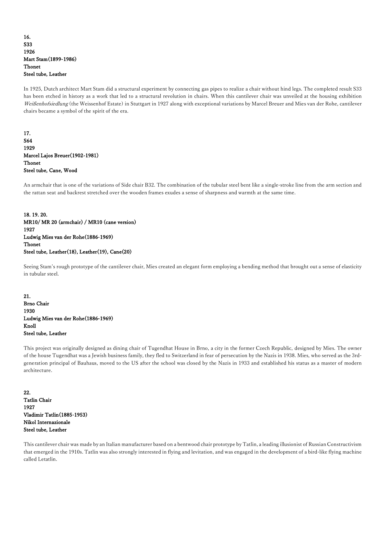## 16. S33 1926 Mart Stam(1899-1986) Thonet Steel tube, Leather

In 1925, Dutch architect Mart Stam did a structural experiment by connecting gas pipes to realize a chair without hind legs. The completed result S33 has been etched in history as a work that led to a structural revolution in chairs. When this cantilever chair was unveiled at the housing exhibition Weißenhofsiedlung (the Weissenhof Estate) in Stuttgart in 1927 along with exceptional variations by Marcel Breuer and Mies van der Rohe, cantilever chairs became a symbol of the spirit of the era.

17. S64 1929 Marcel Lajos Breuer(1902-1981) Thonet Steel tube, Cane, Wood

An armchair that is one of the variations of Side chair B32. The combination of the tubular steel bent like a single-stroke line from the arm section and the rattan seat and backrest stretched over the wooden frames exudes a sense of sharpness and warmth at the same time.

18. 19. 20. MR10/ MR 20 (armchair) / MR10 (cane version) 1927 Ludwig Mies van der Rohe(1886-1969) Thonet Steel tube, Leather(18), Leather(19), Cane(20)

Seeing Stam's rough prototype of the cantilever chair, Mies created an elegant form employing a bending method that brought out a sense of elasticity in tubular steel.

21. Brno Chair 1930 Ludwig Mies van der Rohe(1886-1969) Knoll Steel tube, Leather

This project was originally designed as dining chair of Tugendhat House in Brno, a city in the former Czech Republic, designed by Mies. The owner of the house Tugendhat was a Jewish business family, they fled to Switzerland in fear of persecution by the Nazis in 1938. Mies, who served as the 3rdgeneration principal of Bauhaus, moved to the US after the school was closed by the Nazis in 1933 and established his status as a master of modern architecture.

22. Tatlin Chair 1927 Vladimir Tatlin(1885-1953) Nikol Internazionale Steel tube, Leather

This cantilever chair was made by an Italian manufacturer based on a bentwood chair prototype by Tatlin, a leading illusionist of Russian Constructivism that emerged in the 1910s. Tatlin was also strongly interested in flying and levitation, and was engaged in the development of a bird-like flying machine called Letatlin.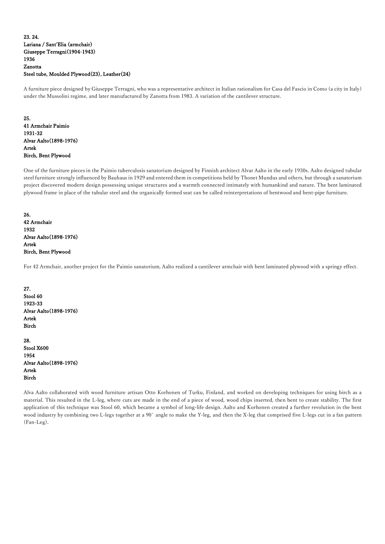## 23. 24. Lariana / Sant'Elia (armchair) Giuseppe Terragni(1904-1943) 1936 Zanotta Steel tube, Moulded Plywood(23), Leather(24)

A furniture piece designed by Giuseppe Terragni, who was a representative architect in Italian rationalism for Casa del Fascio in Como (a city in Italy) under the Mussolini regime, and later manufactured by Zanotta from 1983. A variation of the cantilever structure.

25. 41 Armchair Paimio 1931-32 Alvar Aalto(1898-1976) Artek Birch, Bent Plywood

One of the furniture pieces in the Paimio tuberculosis sanatorium designed by Finnish architect Alvar Aalto in the early 1930s. Aalto designed tubular steel furniture strongly influenced by Bauhaus in 1929 and entered them in competitions held by Thonet Mundus and others, but through a sanatorium project discovered modern design possessing unique structures and a warmth connected intimately with humankind and nature. The bent laminated plywood frame in place of the tubular steel and the organically formed seat can be called reinterpretations of bentwood and bent-pipe furniture.

26. 42 Armchair 1932 Alvar Aalto(1898-1976) Artek Birch, Bent Plywood

For 42 Armchair, another project for the Paimio sanatorium, Aalto realized a cantilever armchair with bent laminated plywood with a springy effect.

27. Stool 60 1923-33 Alvar Aalto(1898-1976) Artek Birch

28. Stool X600 1954 Alvar Aalto(1898-1976) Artek Birch

Alva Aalto collaborated with wood furniture artisan Otto Korhonen of Turku, Finland, and worked on developing techniques for using birch as a material. This resulted in the L-leg, where cuts are made in the end of a piece of wood, wood chips inserted, then bent to create stability. The first application of this technique was Stool 60, which became a symbol of long-life design. Aalto and Korhonen created a further revolution in the bent wood industry by combining two L-legs together at a 90˚ angle to make the Y-leg, and then the X-leg that comprised five L-legs cut in a fan pattern (Fan-Leg).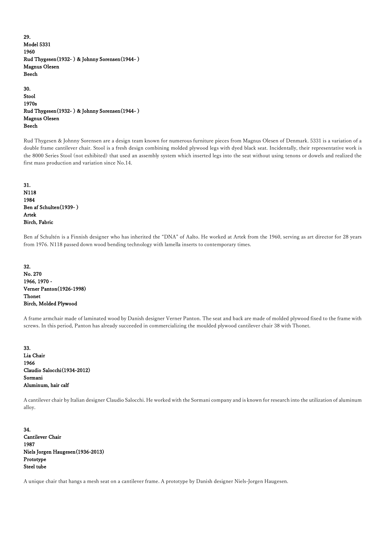29. Model 5331 1960 Rud Thygesen(1932- ) & Johnny Sorensen(1944- ) Magnus Olesen Beech

30. Stool 1970s Rud Thygesen(1932- ) & Johnny Sorensen(1944- ) Magnus Olesen Beech

Rud Thygesen & Johnny Sorensen are a design team known for numerous furniture pieces from Magnus Olesen of Denmark. 5331 is a variation of a double frame cantilever chair. Stool is a fresh design combining molded plywood legs with dyed black seat. Incidentally, their representative work is the 8000 Series Stool (not exhibited) that used an assembly system which inserted legs into the seat without using tenons or dowels and realized the first mass production and variation since No.14.

31. N118 1984 Ben af Schulten(1939- ) Artek Birch, Fabric

Ben af Schultén is a Finnish designer who has inherited the "DNA" of Aalto. He worked at Artek from the 1960, serving as art director for 28 years from 1976. N118 passed down wood bending technology with lamella inserts to contemporary times.

32. No. 270 1966, 1970 - Verner Panton(1926-1998) Thonet Birch, Molded Plywood

A frame armchair made of laminated wood by Danish designer Verner Panton. The seat and back are made of molded plywood fixed to the frame with screws. In this period, Panton has already succeeded in commercializing the moulded plywood cantilever chair 38 with Thonet.

33. Lia Chair 1966 Claudio Salocchi(1934-2012) Sormani Aluminum, hair calf

A cantilever chair by Italian designer Claudio Salocchi. He worked with the Sormani company and is known for research into the utilization of aluminum alloy.

34. Cantilever Chair 1987 Niels Jorgen Haugesen(1936-2013) Prototype Steel tube

A unique chair that hangs a mesh seat on a cantilever frame. A prototype by Danish designer Niels-Jorgen Haugesen.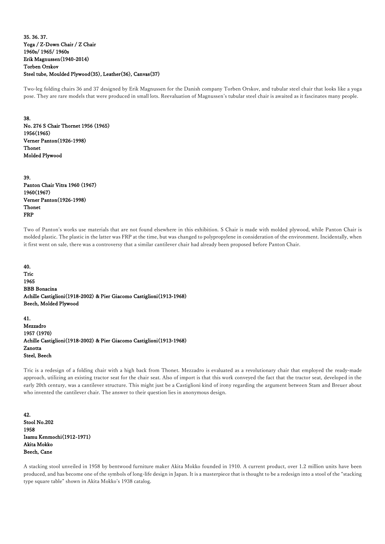### 35. 36. 37. Yoga / Z-Down Chair / Z Chair 1960s/ 1965/ 1960s Erik Magnussen(1940-2014) Torben Orskov Steel tube, Moulded Plywood(35), Leather(36), Canvas(37)

Two-leg folding chairs 36 and 37 designed by Erik Magnussen for the Danish company Torben Orskov, and tubular steel chair that looks like a yoga pose. They are rare models that were produced in small lots. Reevaluation of Magnussen's tubular steel chair is awaited as it fascinates many people.

38. No. 276 S Chair Thornet 1956 (1965) 1956(1965) Verner Panton(1926-1998) Thonet Molded Plywood

39. Panton Chair Vitra 1960 (1967) 1960(1967) Verner Panton(1926-1998) Thonet FRP

Two of Panton's works use materials that are not found elsewhere in this exhibition. S Chair is made with molded plywood, while Panton Chair is molded plastic. The plastic in the latter was FRP at the time, but was changed to polypropylene in consideration of the environment. Incidentally, when it first went on sale, there was a controversy that a similar cantilever chair had already been proposed before Panton Chair.

40. Tric 1965 BBB Bonacina Achille Castiglioni(1918-2002) & Pier Giacomo Castiglioni(1913-1968) Beech, Molded Plywood

41. Mezzadro 1957 (1970) Achille Castiglioni(1918-2002) & Pier Giacomo Castiglioni(1913-1968) Zanotta Steel, Beech

Tric is a redesign of a folding chair with a high back from Thonet. Mezzadro is evaluated as a revolutionary chair that employed the ready-made approach, utilizing an existing tractor seat for the chair seat. Also of import is that this work conveyed the fact that the tractor seat, developed in the early 20th century, was a cantilever structure. This might just be a Castiglioni kind of irony regarding the argument between Stam and Breuer about who invented the cantilever chair. The answer to their question lies in anonymous design.

42. Stool No.202 1958 Isamu Kenmochi(1912-1971) Akita Mokko Beech, Cane

A stacking stool unveiled in 1958 by bentwood furniture maker Akita Mokko founded in 1910. A current product, over 1.2 million units have been produced, and has become one of the symbols of long-life design in Japan. It is a masterpiece that is thought to be a redesign into a stool of the "stacking type square table" shown in Akita Mokko's 1938 catalog.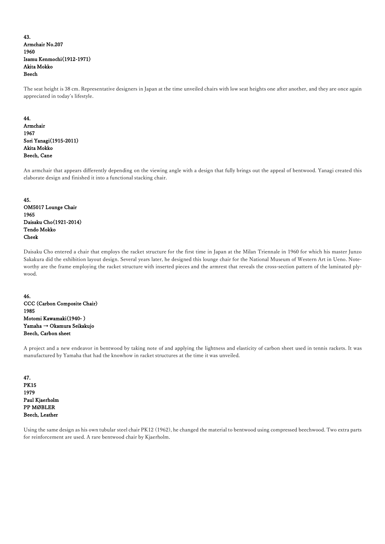43. Armchair No.207 1960 Isamu Kenmochi(1912-1971) Akita Mokko Beech

The seat height is 38 cm. Representative designers in Japan at the time unveiled chairs with low seat heights one after another, and they are once again appreciated in today's lifestyle.

#### 44.

Armchair 1967 Sori Yanagi(1915-2011) Akita Mokko Beech, Cane

An armchair that appears differently depending on the viewing angle with a design that fully brings out the appeal of bentwood. Yanagi created this elaborate design and finished it into a functional stacking chair.

## 45. OM5017 Lounge Chair 1965 Daisaku Cho(1921-2014) Tendo Mokko Cheek

Daisaku Cho entered a chair that employs the racket structure for the first time in Japan at the Milan Triennale in 1960 for which his master Junzo Sakakura did the exhibition layout design. Several years later, he designed this lounge chair for the National Museum of Western Art in Ueno. Noteworthy are the frame employing the racket structure with inserted pieces and the armrest that reveals the cross-section pattern of the laminated plywood.

46. CCC (Carbon Composite Chair) 1985 Motomi Kawamaki(1940- ) Yamaha → Okamura Seikakujo Beech, Carbon sheet

A project and a new endeavor in bentwood by taking note of and applying the lightness and elasticity of carbon sheet used in tennis rackets. It was manufactured by Yamaha that had the knowhow in racket structures at the time it was unveiled.

47. PK15 1979 Paul Kjaerholm PP MØBLER Beech, Leather

Using the same design as his own tubular steel chair PK12 (1962), he changed the material to bentwood using compressed beechwood. Two extra parts for reinforcement are used. A rare bentwood chair by Kjaerholm.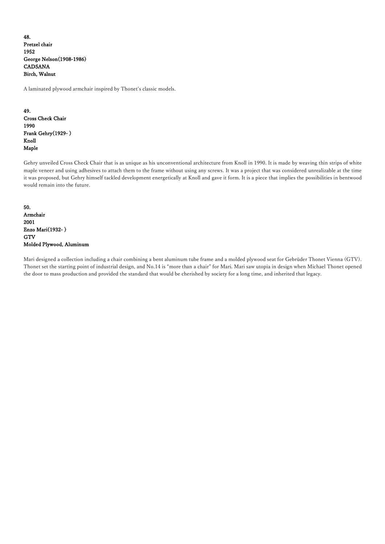48. Pretzel chair 1952 George Nelson(1908-1986) CADSANA Birch, Walnut

A laminated plywood armchair inspired by Thonet's classic models.

49. Cross Check Chair 1990 Frank Gehry(1929- ) Knoll Maple

Gehry unveiled Cross Check Chair that is as unique as his unconventional architecture from Knoll in 1990. It is made by weaving thin strips of white maple veneer and using adhesives to attach them to the frame without using any screws. It was a project that was considered unrealizable at the time it was proposed, but Gehry himself tackled development energetically at Knoll and gave it form. It is a piece that implies the possibilities in bentwood would remain into the future.

50. Armchair 2001 Enzo Mari(1932- ) **GTV** Molded Plywood, Aluminum

Mari designed a collection including a chair combining a bent aluminum tube frame and a molded plywood seat for Gebrüder Thonet Vienna (GTV). Thonet set the starting point of industrial design, and No.14 is "more than a chair" for Mari. Mari saw utopia in design when Michael Thonet opened the door to mass production and provided the standard that would be cherished by society for a long time, and inherited that legacy.